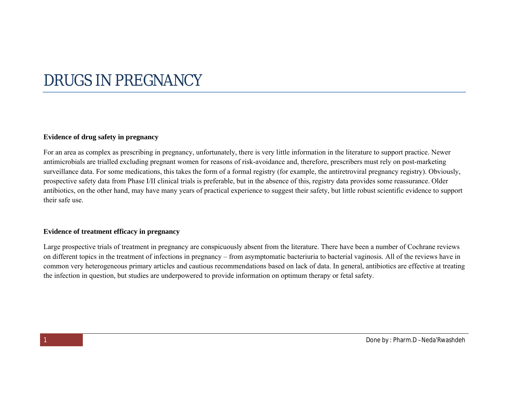# DRUGS IN PREGNANCY

#### **Evidence of drug safety in pregnancy**

For an area as complex as prescribing in pregnancy, unfortunately, there is very little information in the literature to support practice. Newer antimicrobials are trialled excluding pregnant women for reasons of risk-avoidance and, therefore, prescribers must rely on post-marketing surveillance data. For some medications, this takes the form of a formal registry (for example, the antiretroviral pregnancy registry). Obviously, prospective safety data from Phase I/II clinical trials is preferable, but in the absence of this, registry data provides some reassurance. Older antibiotics, on the other hand, may have many years of practical experience to suggest their safety, but little robust scientific evidence to support their safe use.

## **Evidence of treatment efficacy in pregnancy**

Large prospective trials of treatment in pregnancy are conspicuously absent from the literature. There have been a number of Cochrane reviews on different topics in the treatment of infections in pregnancy – from asymptomatic bacteriuria to bacterial vaginosis. All of the reviews have in common very heterogeneous primary articles and cautious recommendations based on lack of data. In general, antibiotics are effective at treating the infection in question, but studies are underpowered to provide information on optimum therapy or fetal safety.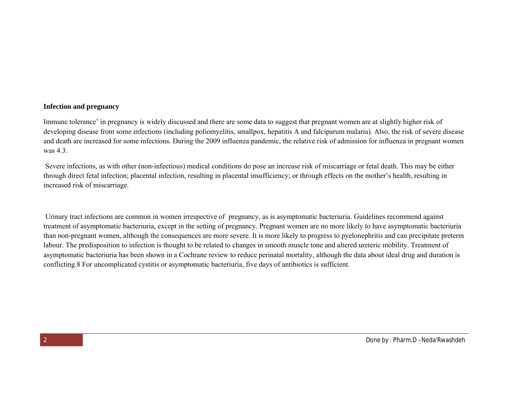#### **Infection and pregnancy**

Immune tolerance' in pregnancy is widely discussed and there are some data to suggest that pregnant women are at slightly higher risk of developing disease from some infections (including poliomyelitis, smallpox, hepatitis A and falciparum malaria). Also, the risk of severe disease and death are increased for some infections. During the 2009 influenza pandemic, the relative risk of admission for influenza in pregnant women was 4.3.

Severe infections, as with other (non-infectious) medical conditions do pose an increase risk of miscarriage or fetal death. This may be either through direct fetal infection; placental infection, resulting in placental insufficiency; or through effects on the mother's health, resulting in increased risk of miscarriage.

Urinary tract infections are common in women irrespective of pregnancy, as is asymptomatic bacteriuria. Guidelines recommend against treatment of asymptomatic bacteriuria, except in the setting of pregnancy. Pregnant women are no more likely to have asymptomatic bacteriuria than non-pregnant women, although the consequences are more severe. It is more likely to progress to pyelonephritis and can precipitate preterm labour. The predisposition to infection is thought to be related to changes in smooth muscle tone and altered ureteric mobility. Treatment of asymptomatic bacteriuria has been shown in a Cochrane review to reduce perinatal mortality, although the data about ideal drug and duration is conflicting.8 For uncomplicated cystitis or asymptomatic bacteriuria, five days of antibiotics is sufficient.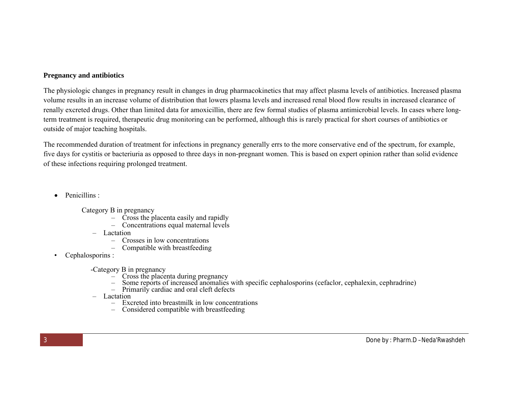## **Pregnancy and antibiotics**

The physiologic changes in pregnancy result in changes in drug pharmacokinetics that may affect plasma levels of antibiotics. Increased plasma volume results in an increase volume of distribution that lowers plasma levels and increased renal blood flow results in increased clearance of renally excreted drugs. Other than limited data for amoxicillin, there are few formal studies of plasma antimicrobial levels. In cases where longterm treatment is required, therapeutic drug monitoring can be performed, although this is rarely practical for short courses of antibiotics or outside of major teaching hospitals.

The recommended duration of treatment for infections in pregnancy generally errs to the more conservative end of the spectrum, for example, five days for cystitis or bacteriuria as opposed to three days in non-pregnant women. This is based on expert opinion rather than solid evidence of these infections requiring prolonged treatment.

- Penicillins :
	- Category B in pregnancy
		- Cross the placenta easily and rapidly
		- Concentrations equal maternal levels
		- Lactation
			- Crosses in low concentrations
			- Compatible with breastfeeding
- Cephalosporins :
	- -Category B in pregnancy
		- $-$  Cross the placenta during pregnancy
		- Some reports of increased anomalies with specific cephalosporins (cefaclor, cephalexin, cephradrine)
		- $-$  Primarily cardiac and oral cleft defects
	- Lactation
		- Excreted into breastmilk in low concentrations
		- Considered compatible with breastfeeding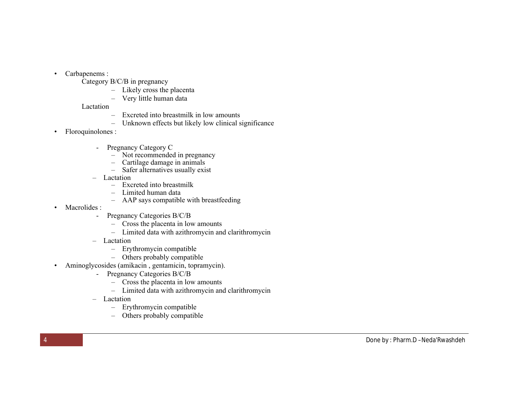- Carbapenems :
	- Category B/C/B in pregnancy
		- Likely cross the placenta
		- Very little human data
	- Lactation
		- Excreted into breastmilk in low amounts
		- Unknown effects but likely low clinical significance
- Floroquinolones :
	- Pregnancy Category C
		- Not recommended in pregnancy
		- Cartilage damage in animals
		- Safer alternatives usually exist
	- Lactation
		- Excreted into breastmilk
		- Limited human data
		- AAP says compatible with breastfeeding
- Macrolides :
	- Pregnancy Categories B/C/B
		- Cross the placenta in low amounts
		- Limited data with azithromycin and clarithromycin
	- Lactation
		- Erythromycin compatible
		- Others probably compatible
- Aminoglycosides (amikacin , gentamicin, topramycin).
	- Pregnancy Categories B/C/B
		- Cross the placenta in low amounts
		- Limited data with azithromycin and clarithromycin
	- Lactation
		- Erythromycin compatible
		- Others probably compatible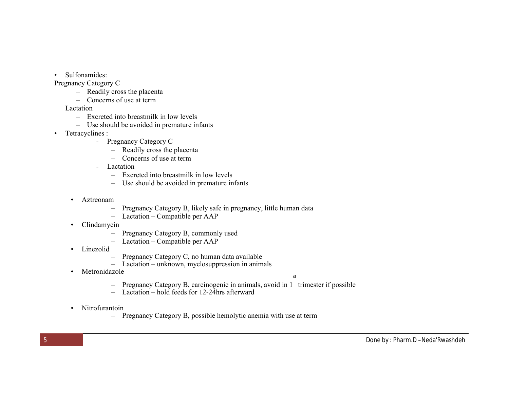• Sulfonamides:

Pregnancy Category C

- Readily cross the placenta
- Concerns of use at term

Lactation

- Excreted into breastmilk in low levels
- Use should be avoided in premature infants
- Tetracyclines :
	- Pregnancy Category C
		- Readily cross the placenta
		- Concerns of use at term
	- Lactation
		- Excreted into breastmilk in low levels
		- Use should be avoided in premature infants
	- Aztreonam
		- Pregnancy Category B, likely safe in pregnancy, little human data
		- Lactation Compatible per AAP
	- Clindamycin
		- Pregnancy Category B, commonly used
		- Lactation Compatible per AAP
	- Linezolid
		- Pregnancy Category C, no human data available
		- Lactation unknown, myelosuppression in animals
	- Metronidazole

st

- Pregnancy Category B, carcinogenic in animals, avoid in 1 trimester if possible
- Lactation hold feeds for 12-24hrs afterward
- Nitrofurantoin
	- Pregnancy Category B, possible hemolytic anemia with use at term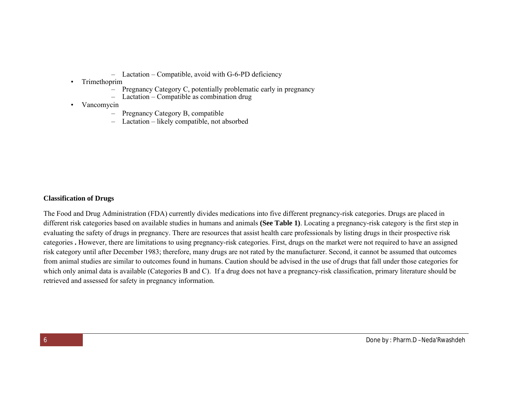- Lactation Compatible, avoid with G-6-PD deficiency
- Trimethoprim
	- Pregnancy Category C, potentially problematic early in pregnancy
	- Lactation Compatible as combination drug
- Vancomycin
	- Pregnancy Category B, compatible
	- Lactation likely compatible, not absorbed

#### **Classification of Drugs**

The Food and Drug Administration (FDA) currently divides medications into five different pregnancy-risk categories. Drugs are placed in different risk categories based on available studies in humans and animals **(See Table 1)**. Locating a pregnancy-risk category is the first step in evaluating the safety of drugs in pregnancy. There are resources that assist health care professionals by listing drugs in their prospective risk categories **.** However, there are limitations to using pregnancy-risk categories. First, drugs on the market were not required to have an assigned risk category until after December 1983; therefore, many drugs are not rated by the manufacturer. Second, it cannot be assumed that outcomes from animal studies are similar to outcomes found in humans. Caution should be advised in the use of drugs that fall under those categories for which only animal data is available (Categories B and C). If a drug does not have a pregnancy-risk classification, primary literature should be retrieved and assessed for safety in pregnancy information.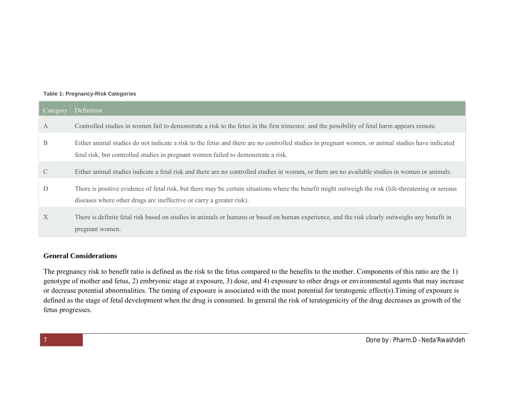#### **Table 1: Pregnancy-Risk Categories**

| Category      | Definition                                                                                                                                                                                                                              |
|---------------|-----------------------------------------------------------------------------------------------------------------------------------------------------------------------------------------------------------------------------------------|
| $\mathbf{A}$  | Controlled studies in women fail to demonstrate a risk to the fetus in the first trimester, and the possibility of fetal harm appears remote.                                                                                           |
| B             | Either animal studies do not indicate a risk to the fetus and there are no controlled studies in pregnant women, or animal studies have indicated<br>fetal risk, but controlled studies in pregnant women failed to demonstrate a risk. |
| $\mathcal{C}$ | Either animal studies indicate a fetal risk and there are no controlled studies in women, or there are no available studies in women or animals.                                                                                        |
| D             | There is positive evidence of fetal risk, but there may be certain situations where the benefit might outweigh the risk (life-threatening or serious<br>diseases where other drugs are ineffective or carry a greater risk).            |
| $\mathbf{X}$  | There is definite fetal risk based on studies in animals or humans or based on human experience, and the risk clearly outweighs any benefit in<br>pregnant women.                                                                       |

## **General Considerations**

The pregnancy risk to benefit ratio is defined as the risk to the fetus compared to the benefits to the mother. Components of this ratio are the 1) genotype of mother and fetus, 2) embryonic stage at exposure, 3) dose, and 4) exposure to other drugs or environmental agents that may increase or decrease potential abnormalities. The timing of exposure is associated with the most potential for teratogenic effect(s).Timing of exposure is defined as the stage of fetal development when the drug is consumed. In general the risk of teratogenicity of the drug decreases as growth of the fetus progresses.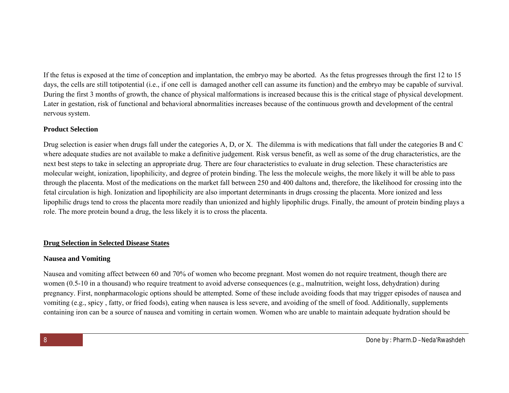If the fetus is exposed at the time of conception and implantation, the embryo may be aborted. As the fetus progresses through the first 12 to 15 days, the cells are still totipotential (i.e., if one cell is damaged another cell can assume its function) and the embryo may be capable of survival. During the first 3 months of growth, the chance of physical malformations is increased because this is the critical stage of physical development. Later in gestation, risk of functional and behavioral abnormalities increases because of the continuous growth and development of the central nervous system.

#### **Product Selection**

Drug selection is easier when drugs fall under the categories A, D, or X. The dilemma is with medications that fall under the categories B and C where adequate studies are not available to make a definitive judgement. Risk versus benefit, as well as some of the drug characteristics, are the next best steps to take in selecting an appropriate drug. There are four characteristics to evaluate in drug selection. These characteristics are molecular weight, ionization, lipophilicity, and degree of protein binding. The less the molecule weighs, the more likely it will be able to pass through the placenta. Most of the medications on the market fall between 250 and 400 daltons and, therefore, the likelihood for crossing into the fetal circulation is high. Ionization and lipophilicity are also important determinants in drugs crossing the placenta. More ionized and less lipophilic drugs tend to cross the placenta more readily than unionized and highly lipophilic drugs. Finally, the amount of protein binding plays a role. The more protein bound a drug, the less likely it is to cross the placenta.

#### **Drug Selection in Selected Disease States**

#### **Nausea and Vomiting**

Nausea and vomiting affect between 60 and 70% of women who become pregnant. Most women do not require treatment, though there are women (0.5-10 in a thousand) who require treatment to avoid adverse consequences (e.g., malnutrition, weight loss, dehydration) during pregnancy. First, nonpharmacologic options should be attempted. Some of these include avoiding foods that may trigger episodes of nausea and vomiting (e.g., spicy , fatty, or fried foods), eating when nausea is less severe, and avoiding of the smell of food. Additionally, supplements containing iron can be a source of nausea and vomiting in certain women. Women who are unable to maintain adequate hydration should be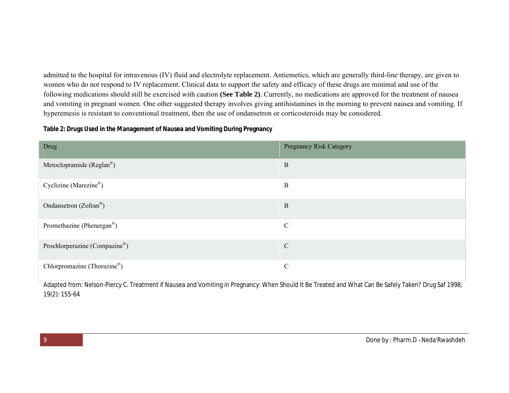admitted to the hospital for intravenous (IV) fluid and electrolyte replacement. Antiemetics, which are generally third-line therapy, are given to women who do not respond to IV replacement. Clinical data to support the safety and efficacy of these drugs are minimal and use of the following medications should still be exercised with caution **(See Table 2)**. Currently, no medications are approved for the treatment of nausea and vomiting in pregnant women. One other suggested therapy involves giving antihistamines in the morning to prevent nausea and vomiting. If hyperemesis is resistant to conventional treatment, then the use of ondansetron or corticosteroids may be considered.

**Table 2: Drugs Used in the Management of Nausea and Vomiting During Pregnancy**

| Drug                                   | <b>Pregnancy Risk Category</b> |
|----------------------------------------|--------------------------------|
| Metoclopramide (Reglan <sup>®</sup> )  | $\, {\bf B}$                   |
| Cyclizine (Marezine®)                  | $\mathbf{B}$                   |
| Ondansetron $(Zofran^{\circledR})$     | $\, {\bf B}$                   |
| Promethazine (Phenergan <sup>®</sup> ) | $\mathcal{C}$                  |
| Prochlorperazine (Compazine®)          | $\mathcal{C}$                  |
| Chlorpromazine (Thorazine®)            | $\mathcal{C}$                  |

Adapted from: Nelson-Piercy C. Treatment if Nausea and Vomiting in Pregnancy: When Should It Be Treated and What Can Be Safely Taken? Drug Saf 1998; 19(2): 155-64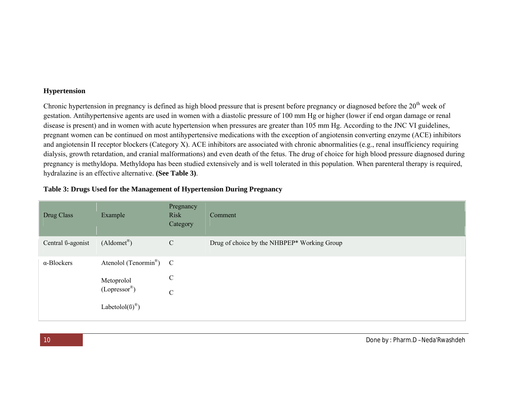#### **Hypertension**

Chronic hypertension in pregnancy is defined as high blood pressure that is present before pregnancy or diagnosed before the 20<sup>th</sup> week of gestation. Antihypertensive agents are used in women with a diastolic pressure of 100 mm Hg or higher (lower if end organ damage or renal disease is present) and in women with acute hypertension when pressures are greater than 105 mm Hg. According to the JNC VI guidelines, pregnant women can be continued on most antihypertensive medications with the exception of angiotensin converting enzyme (ACE) inhibitors and angiotensin II receptor blockers (Category X). ACE inhibitors are associated with chronic abnormalities (e.g., renal insufficiency requiring dialysis, growth retardation, and cranial malformations) and even death of the fetus. The drug of choice for high blood pressure diagnosed during pregnancy is methyldopa. Methyldopa has been studied extensively and is well tolerated in this population. When parenteral therapy is required, hydralazine is an effective alternative. **(See Table 3)**.

| Drug Class                | Example                                       | Pregnancy<br><b>Risk</b><br>Category | Comment                                     |
|---------------------------|-----------------------------------------------|--------------------------------------|---------------------------------------------|
| Central <i>v</i> -agonist | $($ Aldomet <sup>®</sup> $)$                  | $\mathbf C$                          | Drug of choice by the NHBPEP* Working Group |
| $\alpha$ -Blockers        | Atenolol (Tenormin <sup>®</sup> ) $C$         |                                      |                                             |
|                           | Metoprolol<br>$(Lopressor^{\mathcal{R}})$     | $\mathcal{C}$                        |                                             |
|                           |                                               | $\mathbf C$                          |                                             |
|                           | Labetolol( $\ddot{\text{u}}$ ) <sup>®</sup> ) |                                      |                                             |

#### **Table 3: Drugs Used for the Management of Hypertension During Pregnancy**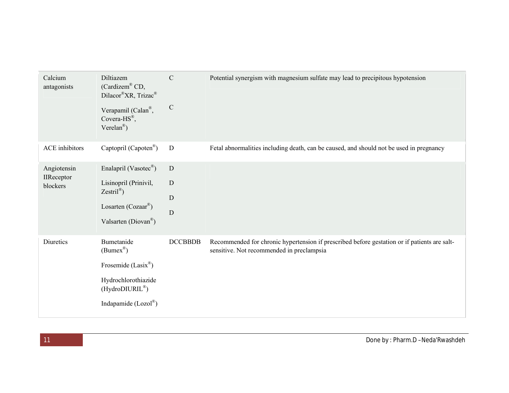| Calcium<br>antagonists                | Diltiazem<br>(Cardizem® CD,<br>Dilacor®XR, Trizac®<br>Verapamil (Calan®,<br>Covera- $HS^{\mathcal{R}}$ ,<br>Verelan <sup>®</sup> )                  | $\mathcal{C}$<br>$\mathcal{C}$ | Potential synergism with magnesium sulfate may lead to precipitous hypotension                                                            |
|---------------------------------------|-----------------------------------------------------------------------------------------------------------------------------------------------------|--------------------------------|-------------------------------------------------------------------------------------------------------------------------------------------|
| <b>ACE</b> inhibitors                 | Captopril (Capoten®)                                                                                                                                | ${\bf D}$                      | Fetal abnormalities including death, can be caused, and should not be used in pregnancy                                                   |
| Angiotensin<br>IIReceptor<br>blockers | Enalapril (Vasotec®)<br>Lisinopril (Prinivil,<br>$Zestril^{\circledR})$<br>Losarten (Cozaar <sup>®</sup> )<br>Valsarten (Diovan <sup>®</sup> )      | D<br>$\mathbf D$<br>D<br>D     |                                                                                                                                           |
| Diuretics                             | Bumetanide<br>$(Bumer^{\circledR})$<br>Frosemide (Lasix®)<br>Hydrochlorothiazide<br>$(HydroDIURIL^{\circledR})$<br>Indapamide $(Lozol^{\circledR})$ | DCCBBDB                        | Recommended for chronic hypertension if prescribed before gestation or if patients are salt-<br>sensitive. Not recommended in preclampsia |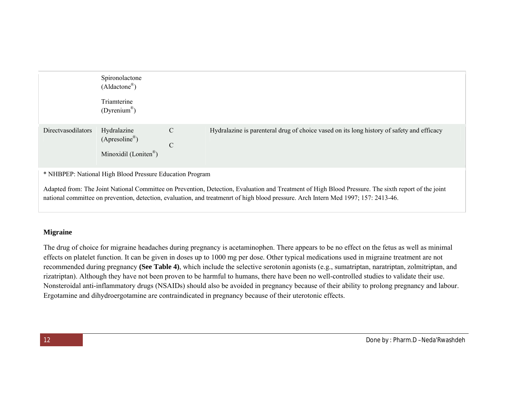|                                                          | Spironolactone<br>$(Aldactone^{\circledR})$                                    |                                 |                                                                                           |
|----------------------------------------------------------|--------------------------------------------------------------------------------|---------------------------------|-------------------------------------------------------------------------------------------|
|                                                          | Triamterine<br>$(Dyrenium^{\circledR})$                                        |                                 |                                                                                           |
| Directvasodilators                                       | Hydralazine<br>$(Apresoline^{\circledR})$<br>Minoxidil (Loniten <sup>®</sup> ) | $\overline{C}$<br>$\mathcal{C}$ | Hydralazine is parenteral drug of choice vased on its long history of safety and efficacy |
| * NHBPEP: National High Blood Pressure Education Program |                                                                                |                                 |                                                                                           |

Adapted from: The Joint National Committee on Prevention, Detection, Evaluation and Treatment of High Blood Pressure. The sixth report of the joint national committee on prevention, detection, evaluation, and treatmenrt of high blood pressure. Arch Intern Med 1997; 157: 2413-46.

# **Migraine**

The drug of choice for migraine headaches during pregnancy is acetaminophen. There appears to be no effect on the fetus as well as minimal effects on platelet function. It can be given in doses up to 1000 mg per dose. Other typical medications used in migraine treatment are not recommended during pregnancy **(See Table 4)**, which include the selective serotonin agonists (e.g., sumatriptan, naratriptan, zolmitriptan, and rizatriptan). Although they have not been proven to be harmful to humans, there have been no well-controlled studies to validate their use. Nonsteroidal anti-inflammatory drugs (NSAIDs) should also be avoided in pregnancy because of their ability to prolong pregnancy and labour. Ergotamine and dihydroergotamine are contraindicated in pregnancy because of their uterotonic effects.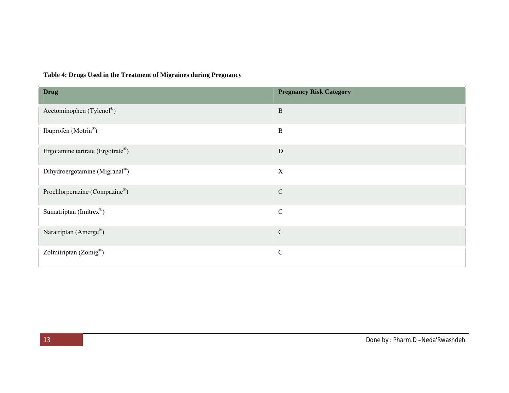| <b>Drug</b>                      | <b>Pregnancy Risk Category</b> |
|----------------------------------|--------------------------------|
| Acetominophen (Tylenol®)         | $\, {\bf B}$                   |
| Ibuprofen (Motrin®)              | $\, {\bf B}$                   |
| Ergotamine tartrate (Ergotrate®) | ${\rm D}$                      |
| Dihydroergotamine (Migranal®)    | $\mathbf X$                    |
| Prochlorperazine (Compazine®)    | ${\bf C}$                      |
| Sumatriptan (Imitrex®)           | $\mathsf C$                    |
| Naratriptan (Amerge®)            | ${\bf C}$                      |
| Zolmitriptan (Zomig®)            | $\mathbf C$                    |

# **Table 4: Drugs Used in the Treatment of Migraines during Pregnancy**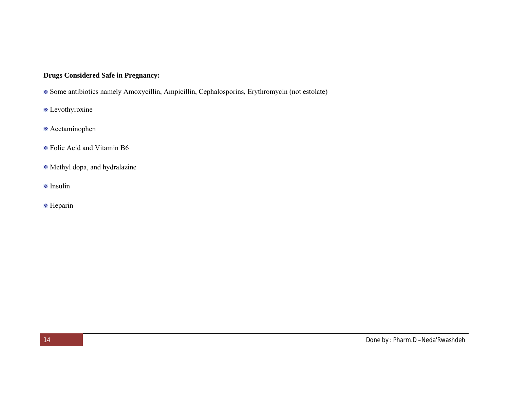# **Drugs Considered Safe in Pregnancy:**

- Some antibiotics namely Amoxycillin, Ampicillin, Cephalosporins, Erythromycin (not estolate)
- Levothyroxine
- Acetaminophen
- Folic Acid and Vitamin B6
- Methyl dopa, and hydralazine
- **Insulin**
- Heparin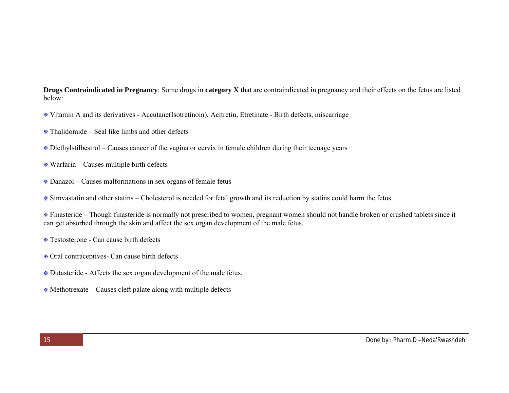**Drugs Contraindicated in Pregnancy**: Some drugs in **category X** that are contraindicated in pregnancy and their effects on the fetus are listed below:

- Vitamin A and its derivatives Accutane(Isotretinoin), Acitretin, Etretinate Birth defects, miscarriage
- Thalidomide Seal like limbs and other defects
- Diethylstilbestrol Causes cancer of the vagina or cervix in female children during their teenage years
- Warfarin Causes multiple birth defects
- Danazol Causes malformations in sex organs of female fetus
- Simvastatin and other statins Cholesterol is needed for fetal growth and its reduction by statins could harm the fetus

Finasteride – Though finasteride is normally not prescribed to women, pregnant women should not handle broken or crushed tablets since it can get absorbed through the skin and affect the sex organ development of the male fetus.

- Testosterone Can cause birth defects
- Oral contraceptives- Can cause birth defects
- Dutasteride Affects the sex organ development of the male fetus.
- Methotrexate Causes cleft palate along with multiple defects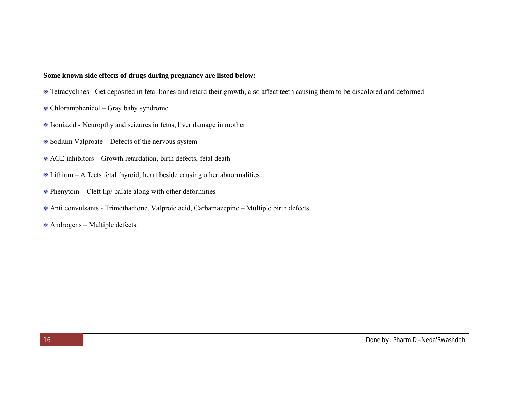## **Some known side effects of drugs during pregnancy are listed below:**

- Tetracyclines Get deposited in fetal bones and retard their growth, also affect teeth causing them to be discolored and deformed
- Chloramphenicol Gray baby syndrome
- Isoniazid Neuropthy and seizures in fetus, liver damage in mother
- Sodium Valproate Defects of the nervous system
- ACE inhibitors Growth retardation, birth defects, fetal death
- Lithium Affects fetal thyroid, heart beside causing other abnormalities
- $\bullet$  Phenytoin Cleft lip/ palate along with other deformities
- Anti convulsants Trimethadione, Valproic acid, Carbamazepine Multiple birth defects
- Androgens Multiple defects.